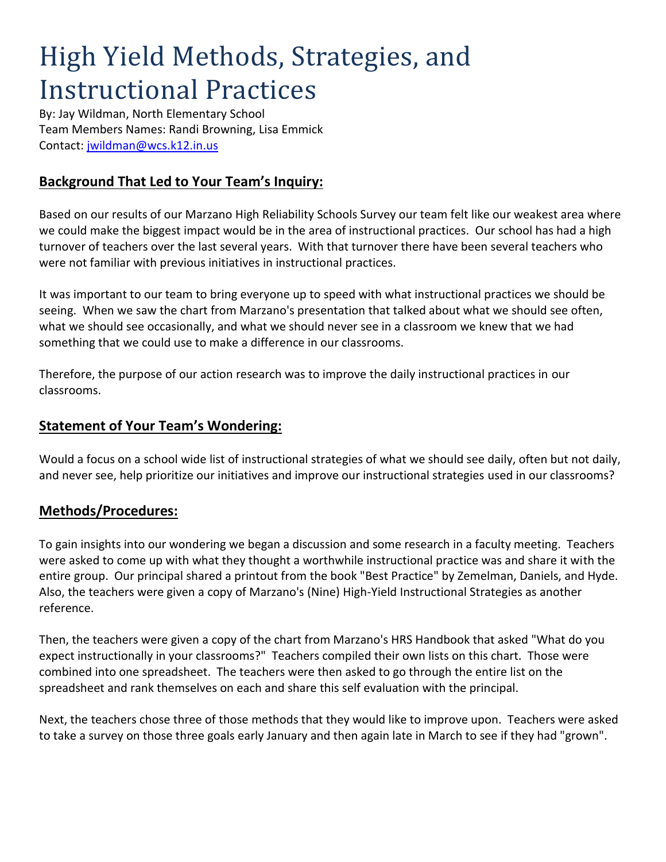# High Yield Methods, Strategies, and Instructional Practices

By: Jay Wildman, North Elementary School Team Members Names: Randi Browning, Lisa Emmick Contact:<jwildman@wcs.k12.in.us>

## **Background That Led to Your Team's Inquiry:**

Based on our results of our Marzano High Reliability Schools Survey our team felt like our weakest area where we could make the biggest impact would be in the area of instructional practices. Our school has had a high turnover of teachers over the last several years. With that turnover there have been several teachers who were not familiar with previous initiatives in instructional practices.

It was important to our team to bring everyone up to speed with what instructional practices we should be seeing. When we saw the chart from Marzano's presentation that talked about what we should see often, what we should see occasionally, and what we should never see in a classroom we knew that we had something that we could use to make a difference in our classrooms.

Therefore, the purpose of our action research was to improve the daily instructional practices in our classrooms.

#### **Statement of Your Team's Wondering:**

Would a focus on a school wide list of instructional strategies of what we should see daily, often but not daily, and never see, help prioritize our initiatives and improve our instructional strategies used in our classrooms?

### **Methods/Procedures:**

To gain insights into our wondering we began a discussion and some research in a faculty meeting. Teachers were asked to come up with what they thought a worthwhile instructional practice was and share it with the entire group. Our principal shared a printout from the book "Best Practice" by Zemelman, Daniels, and Hyde. Also, the teachers were given a copy of Marzano's (Nine) High-Yield Instructional Strategies as another reference.

Then, the teachers were given a copy of the chart from Marzano's HRS Handbook that asked "What do you expect instructionally in your classrooms?" Teachers compiled their own lists on this chart. Those were combined into one spreadsheet. The teachers were then asked to go through the entire list on the spreadsheet and rank themselves on each and share this self evaluation with the principal.

Next, the teachers chose three of those methods that they would like to improve upon. Teachers were asked to take a survey on those three goals early January and then again late in March to see if they had "grown".